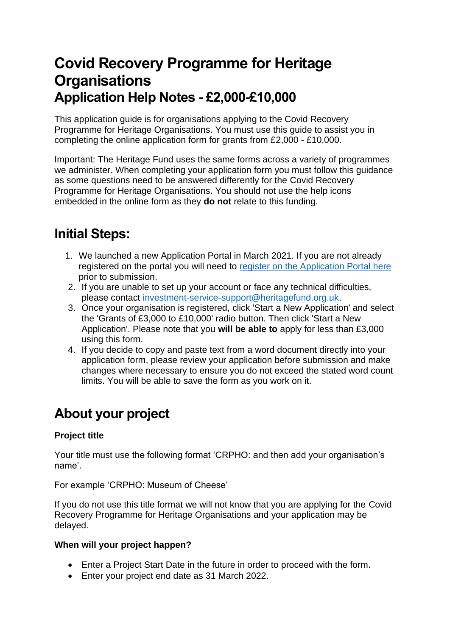# **Covid Recovery Programme for Heritage Organisations Application Help Notes - £2,000-£10,000**

This application guide is for organisations applying to the Covid Recovery Programme for Heritage Organisations. You must use this guide to assist you in completing the online application form for grants from £2,000 - £10,000.

Important: The Heritage Fund uses the same forms across a variety of programmes we administer. When completing your application form you must follow this guidance as some questions need to be answered differently for the Covid Recovery Programme for Heritage Organisations. You should not use the help icons embedded in the online form as they **do not** relate to this funding.

# **Initial Steps:**

- 1. We launched a new Application Portal in March 2021. If you are not already registered on the portal you will need to [register on the Application Portal here](https://funding.heritagefund.org.uk/users/sign_up?locale=en-GB) prior to submission.
- 2. If you are unable to set up your account or face any technical difficulties, please contact [investment-service-support@heritagefund.org.uk.](mailto:investment-service-support@heritagefund.org.uk)
- 3. Once your organisation is registered, click 'Start a New Application' and select the 'Grants of £3,000 to £10,000' radio button. Then click 'Start a New Application'. Please note that you **will be able to** apply for less than £3,000 using this form.
- 4. If you decide to copy and paste text from a word document directly into your application form, please review your application before submission and make changes where necessary to ensure you do not exceed the stated word count limits. You will be able to save the form as you work on it.

# **About your project**

### **Project title**

Your title must use the following format 'CRPHO: and then add your organisation's name'.

For example 'CRPHO: Museum of Cheese'

If you do not use this title format we will not know that you are applying for the Covid Recovery Programme for Heritage Organisations and your application may be delayed.

### **When will your project happen?**

- Enter a Project Start Date in the future in order to proceed with the form.
- Enter your project end date as 31 March 2022.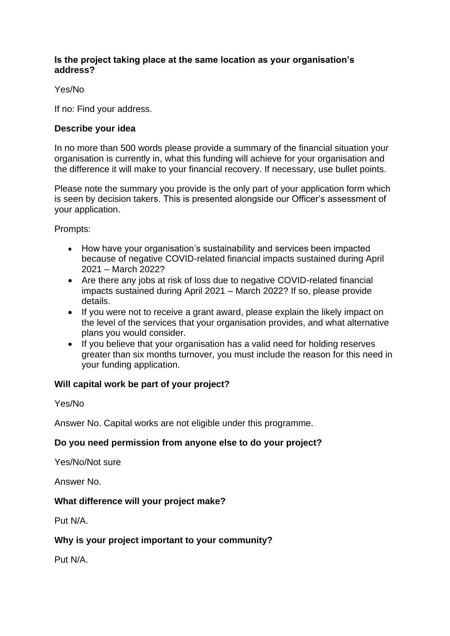### **Is the project taking place at the same location as your organisation's address?**

### Yes/No

If no: Find your address.

### **Describe your idea**

In no more than 500 words please provide a summary of the financial situation your organisation is currently in, what this funding will achieve for your organisation and the difference it will make to your financial recovery. If necessary, use bullet points.

Please note the summary you provide is the only part of your application form which is seen by decision takers. This is presented alongside our Officer's assessment of your application.

Prompts:

- How have your organisation's sustainability and services been impacted because of negative COVID-related financial impacts sustained during April 2021 – March 2022?
- Are there any jobs at risk of loss due to negative COVID-related financial impacts sustained during April 2021 – March 2022? If so, please provide details.
- If you were not to receive a grant award, please explain the likely impact on the level of the services that your organisation provides, and what alternative plans you would consider.
- If you believe that your organisation has a valid need for holding reserves greater than six months turnover, you must include the reason for this need in your funding application.

### **Will capital work be part of your project?**

Yes/No

Answer No. Capital works are not eligible under this programme.

### **Do you need permission from anyone else to do your project?**

Yes/No/Not sure

Answer No.

### **What difference will your project make?**

Put N/A.

### **Why is your project important to your community?**

Put N/A.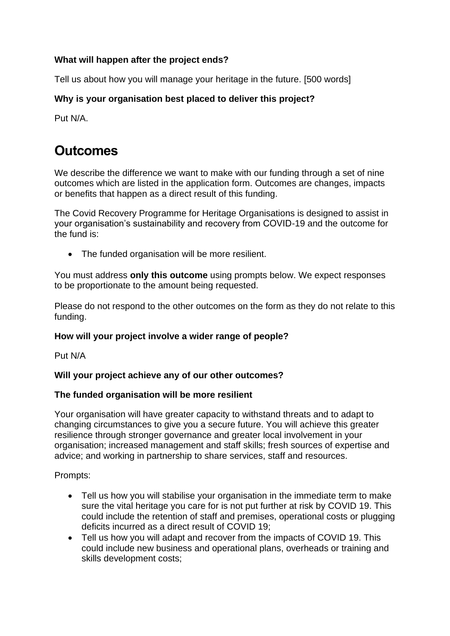### **What will happen after the project ends?**

Tell us about how you will manage your heritage in the future. [500 words]

### **Why is your organisation best placed to deliver this project?**

Put N/A.

## **Outcomes**

We describe the difference we want to make with our funding through a set of nine outcomes which are listed in the application form. Outcomes are changes, impacts or benefits that happen as a direct result of this funding.

The Covid Recovery Programme for Heritage Organisations is designed to assist in your organisation's sustainability and recovery from COVID-19 and the outcome for the fund is:

• The funded organisation will be more resilient.

You must address **only this outcome** using prompts below. We expect responses to be proportionate to the amount being requested.

Please do not respond to the other outcomes on the form as they do not relate to this funding.

### **How will your project involve a wider range of people?**

Put N/A

### **Will your project achieve any of our other outcomes?**

### **The funded organisation will be more resilient**

Your organisation will have greater capacity to withstand threats and to adapt to changing circumstances to give you a secure future. You will achieve this greater resilience through stronger governance and greater local involvement in your organisation; increased management and staff skills; fresh sources of expertise and advice; and working in partnership to share services, staff and resources.

Prompts:

- Tell us how you will stabilise your organisation in the immediate term to make sure the vital heritage you care for is not put further at risk by COVID 19. This could include the retention of staff and premises, operational costs or plugging deficits incurred as a direct result of COVID 19;
- Tell us how you will adapt and recover from the impacts of COVID 19. This could include new business and operational plans, overheads or training and skills development costs;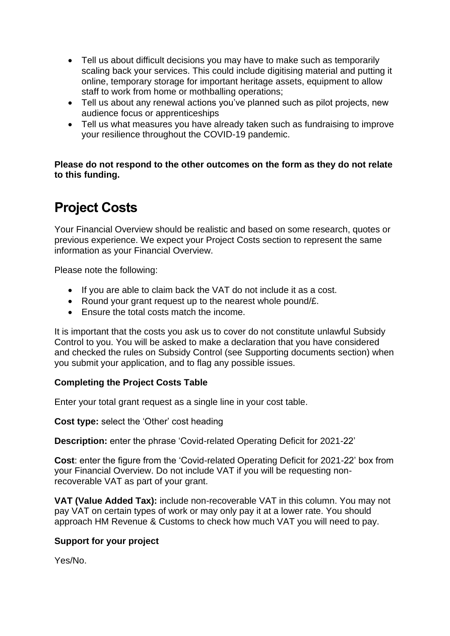- Tell us about difficult decisions you may have to make such as temporarily scaling back your services. This could include digitising material and putting it online, temporary storage for important heritage assets, equipment to allow staff to work from home or mothballing operations;
- Tell us about any renewal actions you've planned such as pilot projects, new audience focus or apprenticeships
- Tell us what measures you have already taken such as fundraising to improve your resilience throughout the COVID-19 pandemic.

**Please do not respond to the other outcomes on the form as they do not relate to this funding.**

## **Project Costs**

Your Financial Overview should be realistic and based on some research, quotes or previous experience. We expect your Project Costs section to represent the same information as your Financial Overview.

Please note the following:

- If you are able to claim back the VAT do not include it as a cost.
- Round your grant request up to the nearest whole pound/£.
- Ensure the total costs match the income.

It is important that the costs you ask us to cover do not constitute unlawful Subsidy Control to you. You will be asked to make a declaration that you have considered and checked the rules on Subsidy Control (see Supporting documents section) when you submit your application, and to flag any possible issues.

### **Completing the Project Costs Table**

Enter your total grant request as a single line in your cost table.

**Cost type:** select the 'Other' cost heading

**Description:** enter the phrase 'Covid-related Operating Deficit for 2021-22'

**Cost**: enter the figure from the 'Covid-related Operating Deficit for 2021-22' box from your Financial Overview. Do not include VAT if you will be requesting nonrecoverable VAT as part of your grant.

**VAT (Value Added Tax):** include non-recoverable VAT in this column. You may not pay VAT on certain types of work or may only pay it at a lower rate. You should approach HM Revenue & Customs to check how much VAT you will need to pay.

### **Support for your project**

Yes/No.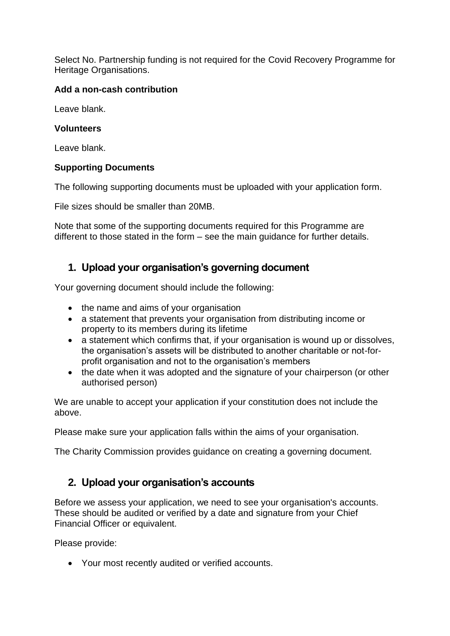Select No. Partnership funding is not required for the Covid Recovery Programme for Heritage Organisations.

### **Add a non-cash contribution**

Leave blank.

### **Volunteers**

Leave blank.

### **Supporting Documents**

The following supporting documents must be uploaded with your application form.

File sizes should be smaller than 20MB.

Note that some of the supporting documents required for this Programme are different to those stated in the form – see the main guidance for further details.

## **1. Upload your organisation's governing document**

Your governing document should include the following:

- the name and aims of your organisation
- a statement that prevents your organisation from distributing income or property to its members during its lifetime
- a statement which confirms that, if your organisation is wound up or dissolves, the organisation's assets will be distributed to another charitable or not-forprofit organisation and not to the organisation's members
- the date when it was adopted and the signature of your chairperson (or other authorised person)

We are unable to accept your application if your constitution does not include the above.

Please make sure your application falls within the aims of your organisation.

The Charity Commission provides guidance on creating a governing document.

## **2. Upload your organisation's accounts**

Before we assess your application, we need to see your organisation's accounts. These should be audited or verified by a date and signature from your Chief Financial Officer or equivalent.

Please provide:

• Your most recently audited or verified accounts.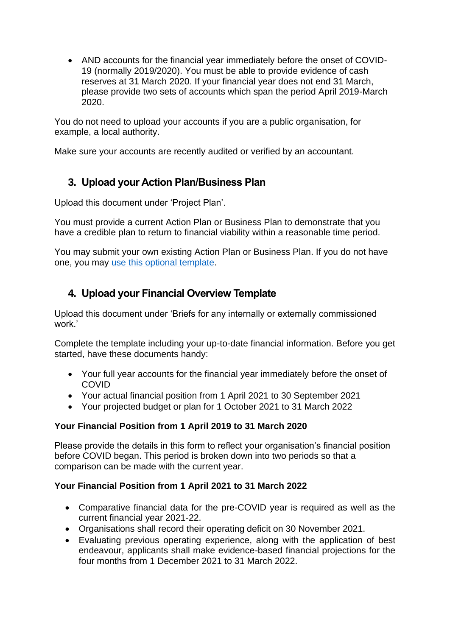• AND accounts for the financial year immediately before the onset of COVID-19 (normally 2019/2020). You must be able to provide evidence of cash reserves at 31 March 2020. If your financial year does not end 31 March, please provide two sets of accounts which span the period April 2019-March 2020.

You do not need to upload your accounts if you are a public organisation, for example, a local authority.

Make sure your accounts are recently audited or verified by an accountant.

## **3. Upload your Action Plan/Business Plan**

Upload this document under 'Project Plan'.

You must provide a current Action Plan or Business Plan to demonstrate that you have a credible plan to return to financial viability within a reasonable time period.

You may submit your own existing Action Plan or Business Plan. If you do not have one, you may [use this optional template.](https://www.heritagefund.org.uk/funding/covid-recovery-programme-for-heritage/application-support-documents)

## **4. Upload your Financial Overview Template**

Upload this document under 'Briefs for any internally or externally commissioned work.'

Complete the template including your up-to-date financial information. Before you get started, have these documents handy:

- Your full year accounts for the financial year immediately before the onset of COVID
- Your actual financial position from 1 April 2021 to 30 September 2021
- Your projected budget or plan for 1 October 2021 to 31 March 2022

### **Your Financial Position from 1 April 2019 to 31 March 2020**

Please provide the details in this form to reflect your organisation's financial position before COVID began. This period is broken down into two periods so that a comparison can be made with the current year.

### **Your Financial Position from 1 April 2021 to 31 March 2022**

- Comparative financial data for the pre-COVID year is required as well as the current financial year 2021-22.
- Organisations shall record their operating deficit on 30 November 2021.
- Evaluating previous operating experience, along with the application of best endeavour, applicants shall make evidence-based financial projections for the four months from 1 December 2021 to 31 March 2022.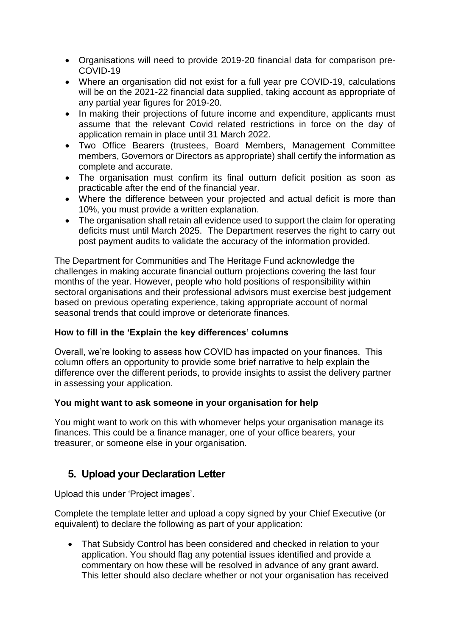- Organisations will need to provide 2019-20 financial data for comparison pre-COVID-19
- Where an organisation did not exist for a full year pre COVID-19, calculations will be on the 2021-22 financial data supplied, taking account as appropriate of any partial year figures for 2019-20.
- In making their projections of future income and expenditure, applicants must assume that the relevant Covid related restrictions in force on the day of application remain in place until 31 March 2022.
- Two Office Bearers (trustees, Board Members, Management Committee members, Governors or Directors as appropriate) shall certify the information as complete and accurate.
- The organisation must confirm its final outturn deficit position as soon as practicable after the end of the financial year.
- Where the difference between your projected and actual deficit is more than 10%, you must provide a written explanation.
- The organisation shall retain all evidence used to support the claim for operating deficits must until March 2025. The Department reserves the right to carry out post payment audits to validate the accuracy of the information provided.

The Department for Communities and The Heritage Fund acknowledge the challenges in making accurate financial outturn projections covering the last four months of the year. However, people who hold positions of responsibility within sectoral organisations and their professional advisors must exercise best judgement based on previous operating experience, taking appropriate account of normal seasonal trends that could improve or deteriorate finances.

### **How to fill in the 'Explain the key differences' columns**

Overall, we're looking to assess how COVID has impacted on your finances. This column offers an opportunity to provide some brief narrative to help explain the difference over the different periods, to provide insights to assist the delivery partner in assessing your application.

### **You might want to ask someone in your organisation for help**

You might want to work on this with whomever helps your organisation manage its finances. This could be a finance manager, one of your office bearers, your treasurer, or someone else in your organisation.

## **5. Upload your Declaration Letter**

Upload this under 'Project images'.

Complete the template letter and upload a copy signed by your Chief Executive (or equivalent) to declare the following as part of your application:

• That Subsidy Control has been considered and checked in relation to your application. You should flag any potential issues identified and provide a commentary on how these will be resolved in advance of any grant award. This letter should also declare whether or not your organisation has received